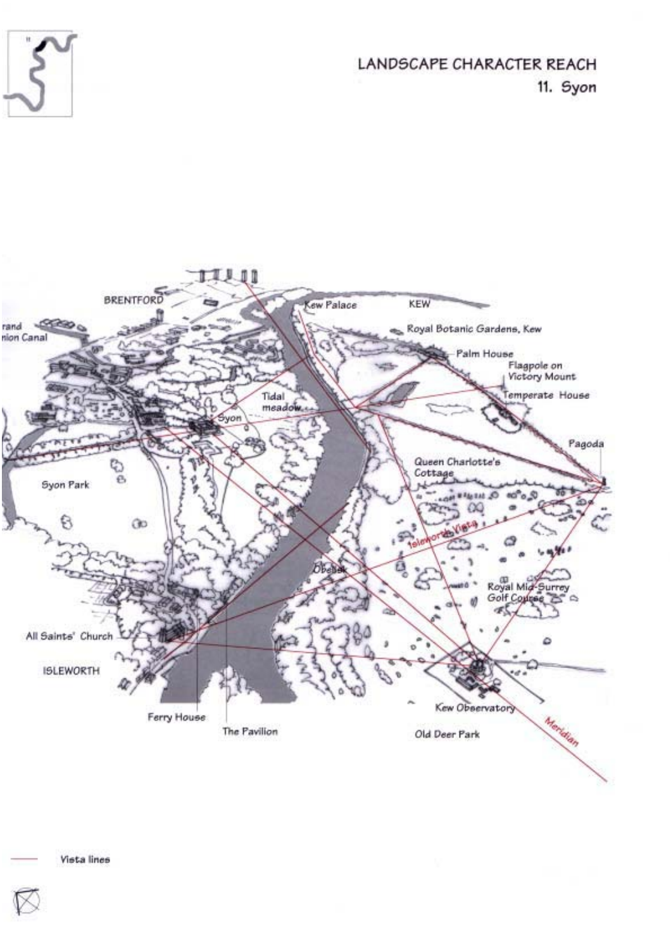

LANDSCAPE CHARACTER REACH 11. Syon

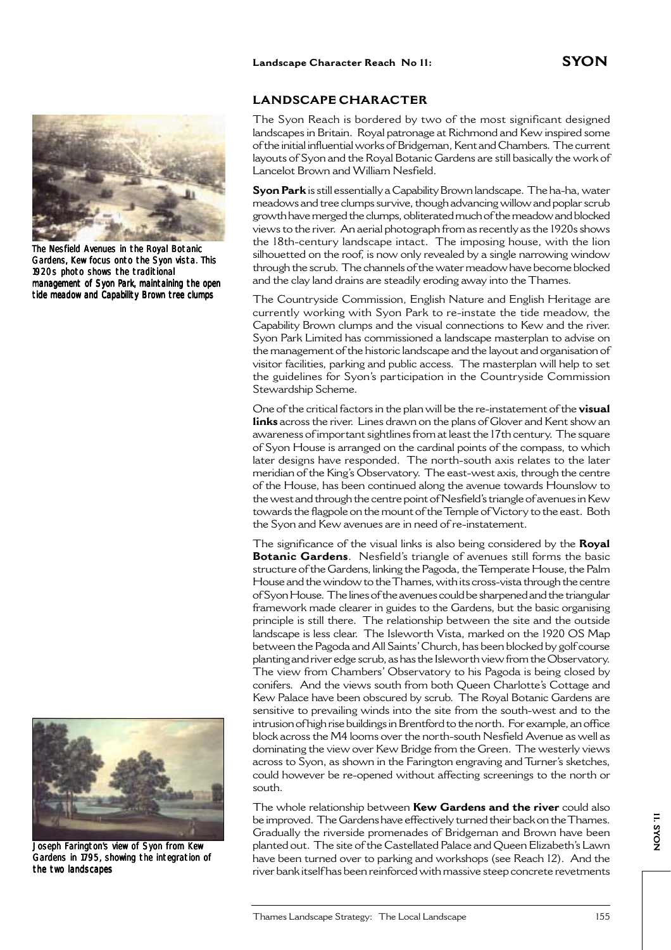

The Nesfield Avenues in the Royal Botanic Gardens, Kew focus onto the Syon vista. This 1920s photo shows the traditional management of Syon Park, maintaining the open tide meadow and Capability Brown tree clumps



Joseph Farington's view of Syon from Kew Gardens in 1795, showing the integration of the two landscapes

### **LANDSCAPE CHARACTER**

The Syon Reach is bordered by two of the most significant designed landscapes in Britain. Royal patronage at Richmond and Kew inspired some of the initial influential works of Bridgeman, Kent and Chambers. The current layouts of Syon and the Royal Botanic Gardens are still basically the work of Lancelot Brown and William Nesfield.

**Syon Park** is still essentially a Capability Brown landscape. The ha-ha, water meadows and tree clumps survive, though advancing willow and poplar scrub growth have merged the clumps, obliterated much of the meadow and blocked views to the river. An aerial photograph from as recently as the 1920s shows the 18th-century landscape intact. The imposing house, with the lion silhouetted on the roof, is now only revealed by a single narrowing window through the scrub. The channels of the water meadow have become blocked and the clay land drains are steadily eroding away into the Thames.

The Countryside Commission, English Nature and English Heritage are currently working with Syon Park to re-instate the tide meadow, the Capability Brown clumps and the visual connections to Kew and the river. Syon Park Limited has commissioned a landscape masterplan to advise on the management of the historic landscape and the layout and organisation of visitor facilities, parking and public access. The masterplan will help to set the guidelines for Syon's participation in the Countryside Commission Stewardship Scheme.

One of the critical factors in the plan will be the re-instatement of the **visual links** across the river. Lines drawn on the plans of Glover and Kent show an awareness of important sightlines from at least the 17th century. The square of Syon House is arranged on the cardinal points of the compass, to which later designs have responded. The north-south axis relates to the later meridian of the King's Observatory. The east-west axis, through the centre of the House, has been continued along the avenue towards Hounslow to the west and through the centre point of Nesfield's triangle of avenues in Kew towards the flagpole on the mount of the Temple of Victory to the east. Both the Syon and Kew avenues are in need of re-instatement.

The significance of the visual links is also being considered by the **Royal Botanic Gardens**. Nesfield's triangle of avenues still forms the basic structure of the Gardens, linking the Pagoda, the Temperate House, the Palm House and the window to the Thames, with its cross-vista through the centre of Syon House. The lines of the avenues could be sharpened and the triangular framework made clearer in guides to the Gardens, but the basic organising principle is still there. The relationship between the site and the outside landscape is less clear. The Isleworth Vista, marked on the 1920 OS Map between the Pagoda and All Saints' Church, has been blocked by golf course planting and river edge scrub, as has the Isleworth view from the Observatory. The view from Chambers' Observatory to his Pagoda is being closed by conifers. And the views south from both Queen Charlotte's Cottage and Kew Palace have been obscured by scrub. The Royal Botanic Gardens are sensitive to prevailing winds into the site from the south-west and to the intrusion of high rise buildings in Brentford to the north. For example, an office block across the M4 looms over the north-south Nesfield Avenue as well as dominating the view over Kew Bridge from the Green. The westerly views across to Syon, as shown in the Farington engraving and Turner's sketches, could however be re-opened without affecting screenings to the north or south.

The whole relationship between **Kew Gardens and the river** could also be improved. The Gardens have effectively turned their back on the Thames. Gradually the riverside promenades of Bridgeman and Brown have been planted out. The site of the Castellated Palace and Queen Elizabeth's Lawn have been turned over to parking and workshops (see Reach 12). And the river bank itself has been reinforced with massive steep concrete revetments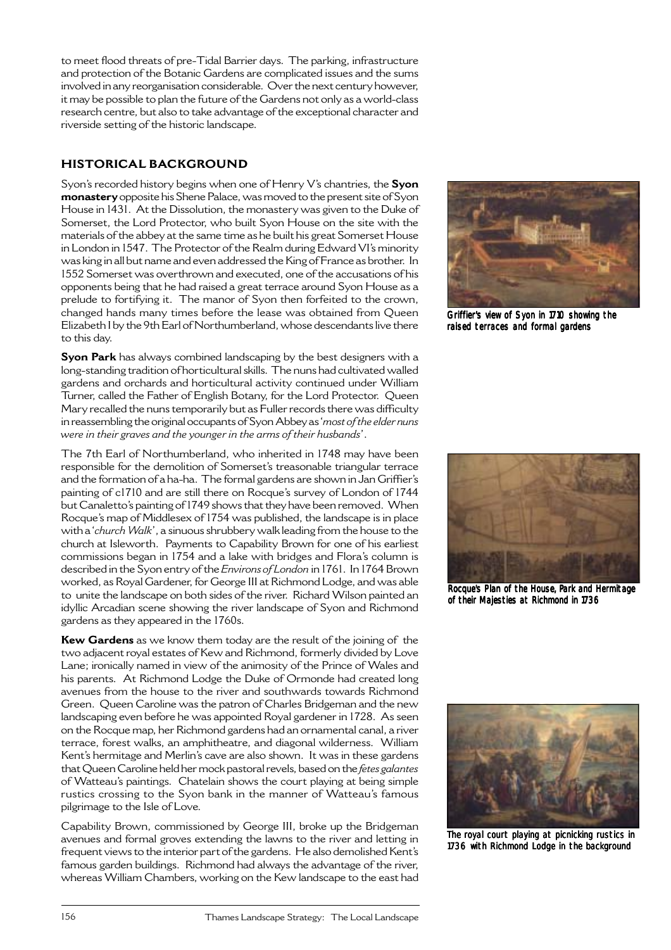to meet flood threats of pre-Tidal Barrier days. The parking, infrastructure and protection of the Botanic Gardens are complicated issues and the sums involved in any reorganisation considerable. Over the next century however, it may be possible to plan the future of the Gardens not only as a world-class research centre, but also to take advantage of the exceptional character and riverside setting of the historic landscape.

# **HISTORICAL BACKGROUND**

Syon's recorded history begins when one of Henry V's chantries, the **Syon monastery** opposite his Shene Palace, was moved to the present site of Syon House in 1431. At the Dissolution, the monastery was given to the Duke of Somerset, the Lord Protector, who built Syon House on the site with the materials of the abbey at the same time as he built his great Somerset House in London in 1547. The Protector of the Realm during Edward VI's minority was king in all but name and even addressed the King of France as brother. In 1552 Somerset was overthrown and executed, one of the accusations of his opponents being that he had raised a great terrace around Syon House as a prelude to fortifying it. The manor of Syon then forfeited to the crown, changed hands many times before the lease was obtained from Queen Elizabeth I by the 9th Earl of Northumberland, whose descendants live there to this day.

**Syon Park** has always combined landscaping by the best designers with a long-standing tradition of horticultural skills. The nuns had cultivated walled gardens and orchards and horticultural activity continued under William Turner, called the Father of English Botany, for the Lord Protector. Queen Mary recalled the nuns temporarily but as Fuller records there was difficulty in reassembling the original occupants of Syon Abbey as '*most of the elder nuns were in their graves and the younger in the arms of their husbands*'.

The 7th Earl of Northumberland, who inherited in 1748 may have been responsible for the demolition of Somerset's treasonable triangular terrace and the formation of a ha-ha. The formal gardens are shown in Jan Griffier's painting of c1710 and are still there on Rocque's survey of London of 1744 but Canaletto's painting of 1749 shows that they have been removed. When Rocque's map of Middlesex of 1754 was published, the landscape is in place with a '*church Walk*', a sinuous shrubbery walk leading from the house to the church at Isleworth. Payments to Capability Brown for one of his earliest commissions began in 1754 and a lake with bridges and Flora's column is described in the Syon entry of the *Environs of London* in 1761. In 1764 Brown worked, as Royal Gardener, for George III at Richmond Lodge, and was able to unite the landscape on both sides of the river. Richard Wilson painted an idyllic Arcadian scene showing the river landscape of Syon and Richmond gardens as they appeared in the 1760s.

**Kew Gardens** as we know them today are the result of the joining of the two adjacent royal estates of Kew and Richmond, formerly divided by Love Lane; ironically named in view of the animosity of the Prince of Wales and his parents. At Richmond Lodge the Duke of Ormonde had created long avenues from the house to the river and southwards towards Richmond Green. Queen Caroline was the patron of Charles Bridgeman and the new landscaping even before he was appointed Royal gardener in 1728. As seen on the Rocque map, her Richmond gardens had an ornamental canal, a river terrace, forest walks, an amphitheatre, and diagonal wilderness. William Kent's hermitage and Merlin's cave are also shown. It was in these gardens that Queen Caroline held her mock pastoral revels, based on the *fetes galantes* of Watteau's paintings. Chatelain shows the court playing at being simple rustics crossing to the Syon bank in the manner of Watteau's famous pilgrimage to the Isle of Love.

Capability Brown, commissioned by George III, broke up the Bridgeman avenues and formal groves extending the lawns to the river and letting in frequent views to the interior part of the gardens. He also demolished Kent's famous garden buildings. Richmond had always the advantage of the river, whereas William Chambers, working on the Kew landscape to the east had



Griffier's view of Syon in 1710 showing the raised terraces and formal gardens



Rocque's Plan of the House, Park and Hermitage of their Majesties at Richmond in 1736



The royal court playing at picnicking rustics in 1736 with Richmond Lodge in the background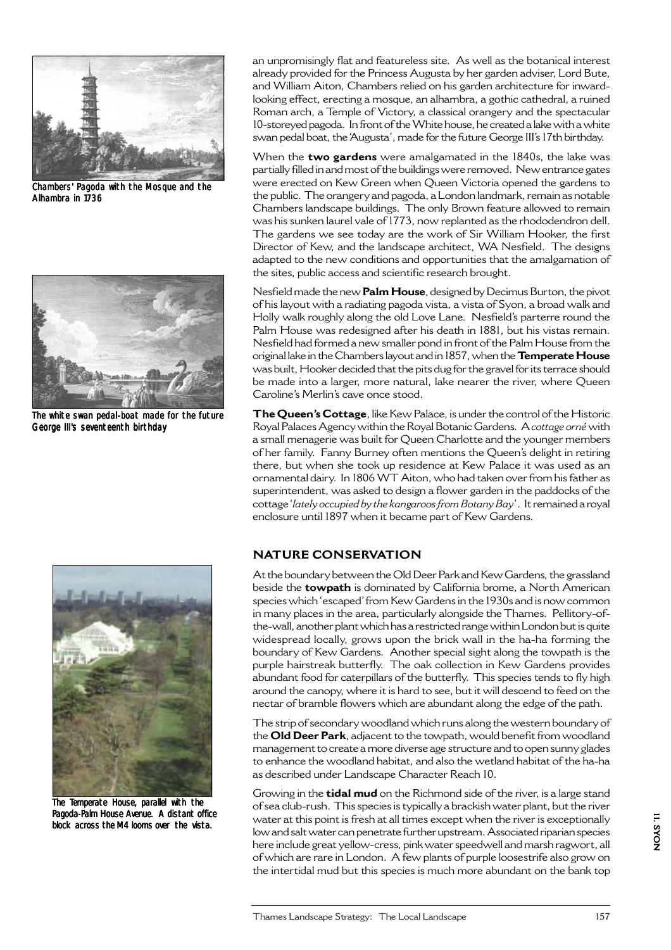

Chambers' Pagoda with the Mosque and the Alhambra in 1736



The white swan pedal-boat made for the future George III's seventeenth birthday

an unpromisingly flat and featureless site. As well as the botanical interest already provided for the Princess Augusta by her garden adviser, Lord Bute, and William Aiton, Chambers relied on his garden architecture for inwardlooking effect, erecting a mosque, an alhambra, a gothic cathedral, a ruined Roman arch, a Temple of Victory, a classical orangery and the spectacular 10-storeyed pagoda. In front of the White house, he created a lake with a white swan pedal boat, the 'Augusta', made for the future George III's 17th birthday.

When the **two gardens** were amalgamated in the 1840s, the lake was partially filled in and most of the buildings were removed. New entrance gates were erected on Kew Green when Queen Victoria opened the gardens to the public. The orangery and pagoda, a London landmark, remain as notable Chambers landscape buildings. The only Brown feature allowed to remain was his sunken laurel vale of 1773, now replanted as the rhododendron dell. The gardens we see today are the work of Sir William Hooker, the first Director of Kew, and the landscape architect, WA Nesfield. The designs adapted to the new conditions and opportunities that the amalgamation of the sites, public access and scientific research brought.

Nesfield made the new **Palm House**, designed by Decimus Burton, the pivot of his layout with a radiating pagoda vista, a vista of Syon, a broad walk and Holly walk roughly along the old Love Lane. Nesfield's parterre round the Palm House was redesigned after his death in 1881, but his vistas remain. Nesfield had formed a new smaller pond in front of the Palm House from the original lake in the Chambers layout and in 1857, when the **Temperate House** was built, Hooker decided that the pits dug for the gravel for its terrace should be made into a larger, more natural, lake nearer the river, where Queen Caroline's Merlin's cave once stood.

**The Queen's Cottage**, like Kew Palace, is under the control of the Historic Royal Palaces Agency within the Royal Botanic Gardens. A *cottage orné* with a small menagerie was built for Queen Charlotte and the younger members of her family. Fanny Burney often mentions the Queen's delight in retiring there, but when she took up residence at Kew Palace it was used as an ornamental dairy. In 1806 WT Aiton, who had taken over from his father as superintendent, was asked to design a flower garden in the paddocks of the cottage '*lately occupied by the kangaroos from Botany Bay*'. It remained a royal enclosure until 1897 when it became part of Kew Gardens.

## **NATURE CONSERVATION**



The Temperate House, parallel with the Pagoda-Palm House Avenue. A distant office block across the M4 looms over the vista.

At the boundary between the Old Deer Park and Kew Gardens, the grassland beside the **towpath** is dominated by California brome, a North American species which 'escaped' from Kew Gardens in the 1930s and is now common in many places in the area, particularly alongside the Thames. Pellitory-ofthe-wall, another plant which has a restricted range within London but is quite widespread locally, grows upon the brick wall in the ha-ha forming the boundary of Kew Gardens. Another special sight along the towpath is the purple hairstreak butterfly. The oak collection in Kew Gardens provides abundant food for caterpillars of the butterfly. This species tends to fly high around the canopy, where it is hard to see, but it will descend to feed on the nectar of bramble flowers which are abundant along the edge of the path.

The strip of secondary woodland which runs along the western boundary of the **Old Deer Park**, adjacent to the towpath, would benefit from woodland management to create a more diverse age structure and to open sunny glades to enhance the woodland habitat, and also the wetland habitat of the ha-ha as described under Landscape Character Reach 10.

Growing in the **tidal mud** on the Richmond side of the river, is a large stand of sea club-rush. This species is typically a brackish water plant, but the river water at this point is fresh at all times except when the river is exceptionally low and salt water can penetrate further upstream. Associated riparian species here include great yellow-cress, pink water speedwell and marsh ragwort, all of which are rare in London. A few plants of purple loosestrife also grow on the intertidal mud but this species is much more abundant on the bank top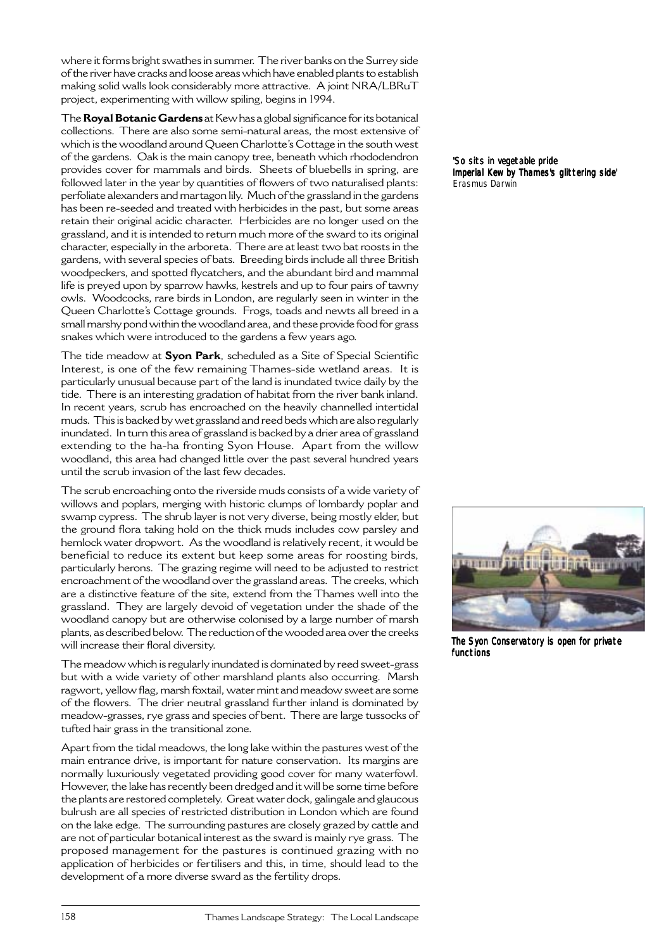where it forms bright swathes in summer. The river banks on the Surrey side of the river have cracks and loose areas which have enabled plants to establish making solid walls look considerably more attractive. A joint NRA/LBRuT project, experimenting with willow spiling, begins in 1994.

The **Royal Botanic Gardens** at Kew has a global significance for its botanical collections. There are also some semi-natural areas, the most extensive of which is the woodland around Queen Charlotte's Cottage in the south west of the gardens. Oak is the main canopy tree, beneath which rhododendron provides cover for mammals and birds. Sheets of bluebells in spring, are followed later in the year by quantities of flowers of two naturalised plants: perfoliate alexanders and martagon lily. Much of the grassland in the gardens has been re-seeded and treated with herbicides in the past, but some areas retain their original acidic character. Herbicides are no longer used on the grassland, and it is intended to return much more of the sward to its original character, especially in the arboreta. There are at least two bat roosts in the gardens, with several species of bats. Breeding birds include all three British woodpeckers, and spotted flycatchers, and the abundant bird and mammal life is preyed upon by sparrow hawks, kestrels and up to four pairs of tawny owls. Woodcocks, rare birds in London, are regularly seen in winter in the Queen Charlotte's Cottage grounds. Frogs, toads and newts all breed in a small marshy pond within the woodland area, and these provide food for grass snakes which were introduced to the gardens a few years ago.

The tide meadow at **Syon Park**, scheduled as a Site of Special Scientific Interest, is one of the few remaining Thames-side wetland areas. It is particularly unusual because part of the land is inundated twice daily by the tide. There is an interesting gradation of habitat from the river bank inland. In recent years, scrub has encroached on the heavily channelled intertidal muds. This is backed by wet grassland and reed beds which are also regularly inundated. In turn this area of grassland is backed by a drier area of grassland extending to the ha-ha fronting Syon House. Apart from the willow woodland, this area had changed little over the past several hundred years until the scrub invasion of the last few decades.

The scrub encroaching onto the riverside muds consists of a wide variety of willows and poplars, merging with historic clumps of lombardy poplar and swamp cypress. The shrub layer is not very diverse, being mostly elder, but the ground flora taking hold on the thick muds includes cow parsley and hemlock water dropwort. As the woodland is relatively recent, it would be beneficial to reduce its extent but keep some areas for roosting birds, particularly herons. The grazing regime will need to be adjusted to restrict encroachment of the woodland over the grassland areas. The creeks, which are a distinctive feature of the site, extend from the Thames well into the grassland. They are largely devoid of vegetation under the shade of the woodland canopy but are otherwise colonised by a large number of marsh plants, as described below. The reduction of the wooded area over the creeks will increase their floral diversity.

The meadow which is regularly inundated is dominated by reed sweet-grass but with a wide variety of other marshland plants also occurring. Marsh ragwort, yellow flag, marsh foxtail, water mint and meadow sweet are some of the flowers. The drier neutral grassland further inland is dominated by meadow-grasses, rye grass and species of bent. There are large tussocks of tufted hair grass in the transitional zone.

Apart from the tidal meadows, the long lake within the pastures west of the main entrance drive, is important for nature conservation. Its margins are normally luxuriously vegetated providing good cover for many waterfowl. However, the lake has recently been dredged and it will be some time before the plants are restored completely. Great water dock, galingale and glaucous bulrush are all species of restricted distribution in London which are found on the lake edge. The surrounding pastures are closely grazed by cattle and are not of particular botanical interest as the sward is mainly rye grass. The proposed management for the pastures is continued grazing with no application of herbicides or fertilisers and this, in time, should lead to the development of a more diverse sward as the fertility drops.

#### 'So sits in vegetable pride Imperial Kew by Thames's glittering side' Erasmus Darwin



The Syon Conservatory is open for private functions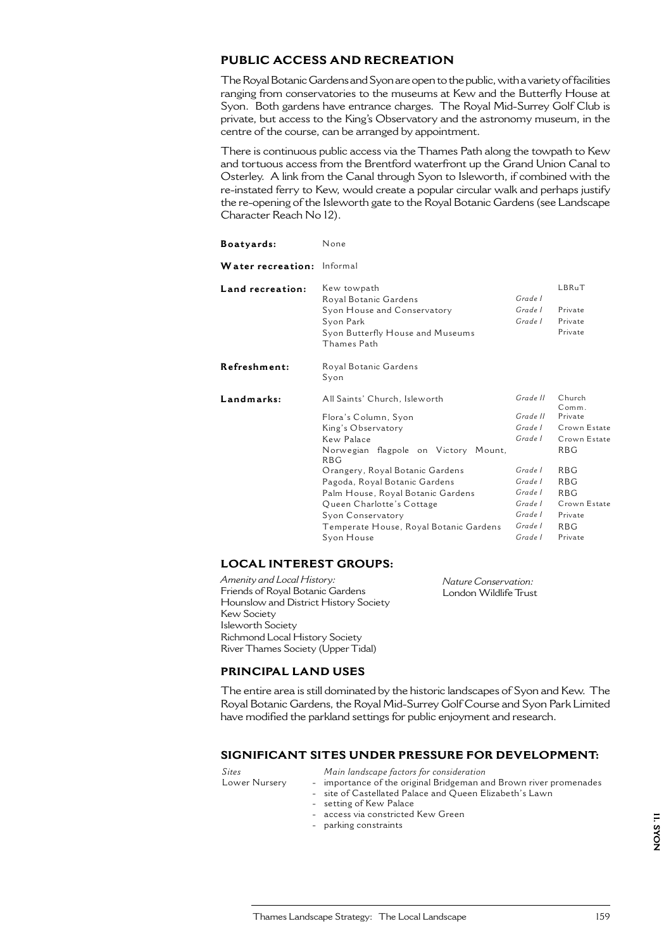## **PUBLIC ACCESS AND RECREATION**

The Royal Botanic Gardens and Syon are open to the public, with a variety of facilities ranging from conservatories to the museums at Kew and the Butterfly House at Syon. Both gardens have entrance charges. The Royal Mid-Surrey Golf Club is private, but access to the King's Observatory and the astronomy museum, in the centre of the course, can be arranged by appointment.

There is continuous public access via the Thames Path along the towpath to Kew and tortuous access from the Brentford waterfront up the Grand Union Canal to Osterley. A link from the Canal through Syon to Isleworth, if combined with the re-instated ferry to Kew, would create a popular circular walk and perhaps justify the re-opening of the Isleworth gate to the Royal Botanic Gardens (see Landscape Character Reach No 12).

| Boatyards:        | None                                                                                                                                                                                                                                                                                                                                                 |                                                                                                              |                                                                                                                                                        |
|-------------------|------------------------------------------------------------------------------------------------------------------------------------------------------------------------------------------------------------------------------------------------------------------------------------------------------------------------------------------------------|--------------------------------------------------------------------------------------------------------------|--------------------------------------------------------------------------------------------------------------------------------------------------------|
| Water recreation: | Informal                                                                                                                                                                                                                                                                                                                                             |                                                                                                              |                                                                                                                                                        |
| Land recreation:  | Kew towpath<br>Royal Botanic Gardens<br>Syon House and Conservatory<br>Syon Park<br>Syon Butterfly House and Museums<br>Thames Path                                                                                                                                                                                                                  | Grade I<br>Grade I<br>Grade I                                                                                | LBRuT<br>Private<br>Private<br>Private                                                                                                                 |
| Refreshment:      | Royal Botanic Gardens<br>Syon                                                                                                                                                                                                                                                                                                                        |                                                                                                              |                                                                                                                                                        |
| Landmarks:        | All Saints' Church, Isleworth<br>Flora's Column, Syon<br>King's Observatory<br>Kew Palace<br>Norwegian flagpole on Victory Mount,<br><b>RBG</b><br>Orangery, Royal Botanic Gardens<br>Pagoda, Royal Botanic Gardens<br>Palm House, Royal Botanic Gardens<br>Queen Charlotte's Cottage<br>Syon Conservatory<br>Temperate House, Royal Botanic Gardens | Grade II<br>Grade II<br>Grade I<br>Grade L<br>Grade I<br>Grade I<br>Grade I<br>Grade I<br>Grade L<br>Grade L | Church<br>Common.<br>Private<br>Crown Estate<br>Crown Estate<br><b>RBG</b><br>RBG<br><b>RBG</b><br><b>RBG</b><br>Crown Estate<br>Private<br><b>RBG</b> |
|                   |                                                                                                                                                                                                                                                                                                                                                      |                                                                                                              |                                                                                                                                                        |

#### **LOCAL INTEREST GROUPS:**

*Amenity and Local History:* Friends of Royal Botanic Gardens Hounslow and District History Society Kew Society Isleworth Society Richmond Local History Society River Thames Society (Upper Tidal)

#### *Nature Conservation:* London Wildlife Trust

**PRINCIPAL LAND USES**

The entire area is still dominated by the historic landscapes of Syon and Kew. The Royal Botanic Gardens, the Royal Mid-Surrey Golf Course and Syon Park Limited have modified the parkland settings for public enjoyment and research.

#### **SIGNIFICANT SITES UNDER PRESSURE FOR DEVELOPMENT:**

Lower Nursery

- *Sites Main landscape factors for consideration*
	- importance of the original Bridgeman and Brown river promenades
	- site of Castellated Palace and Queen Elizabeth's Lawn
	- setting of Kew Palace
	- access via constricted Kew Green
	- parking constraints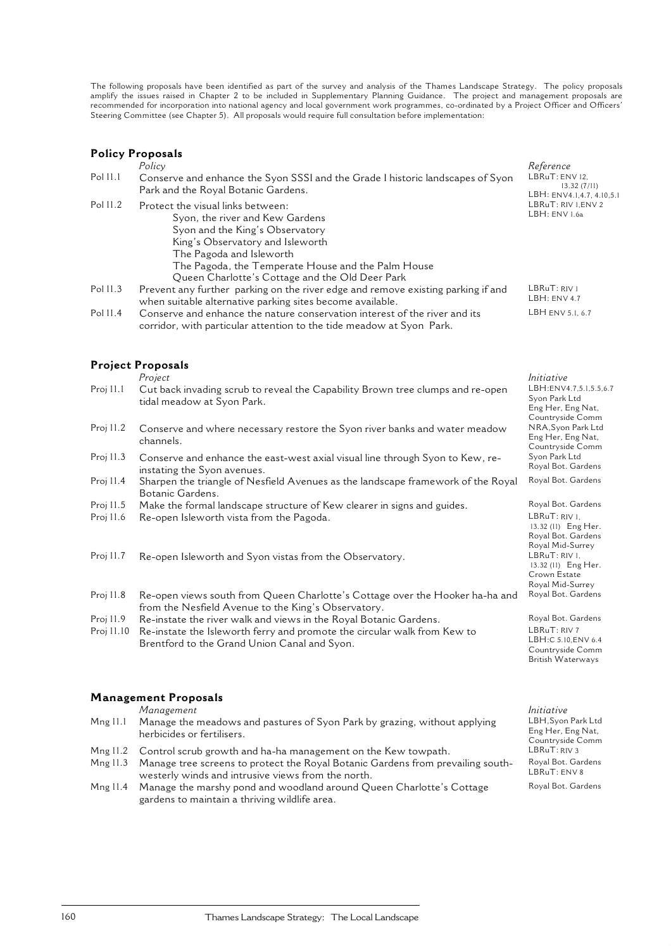The following proposals have been identified as part of the survey and analysis of the Thames Landscape Strategy. The policy proposals amplify the issues raised in Chapter 2 to be included in Supplementary Planning Guidance. The project and management proposals are recommended for incorporation into national agency and local government work programmes, co-ordinated by a Project Officer and Officers' Steering Committee (see Chapter 5). All proposals would require full consultation before implementation:

|                         | <b>Policy Proposals</b><br>Policy                                                                                                                                                                                                                                                | Reference                                                                                            |
|-------------------------|----------------------------------------------------------------------------------------------------------------------------------------------------------------------------------------------------------------------------------------------------------------------------------|------------------------------------------------------------------------------------------------------|
| Pol 11.1                | Conserve and enhance the Syon SSSI and the Grade I historic landscapes of Syon<br>Park and the Royal Botanic Gardens.                                                                                                                                                            | LBRuT: ENV 12,<br>13.32(7/11)<br>LBH: ENV4.1,4.7, 4.10,5.1                                           |
| Pol 11.2                | Protect the visual links between:<br>Syon, the river and Kew Gardens<br>Syon and the King's Observatory<br>King's Observatory and Isleworth<br>The Pagoda and Isleworth<br>The Pagoda, the Temperate House and the Palm House<br>Queen Charlotte's Cottage and the Old Deer Park | LBRuT: RIV I, ENV 2<br>LBH: ENV 1.6a                                                                 |
| Pol 11.3                | Prevent any further parking on the river edge and remove existing parking if and<br>when suitable alternative parking sites become available.                                                                                                                                    | LBRuT: RIV 1<br>LBH: ENV 4.7                                                                         |
| Pol 11.4                | Conserve and enhance the nature conservation interest of the river and its<br>corridor, with particular attention to the tide meadow at Syon Park.                                                                                                                               | LBH ENV 5.1, 6.7                                                                                     |
|                         | <b>Project Proposals</b>                                                                                                                                                                                                                                                         |                                                                                                      |
| Proj 11.1               | Project<br>Cut back invading scrub to reveal the Capability Brown tree clumps and re-open<br>tidal meadow at Syon Park.                                                                                                                                                          | Initiative<br>LBH:ENV4.7,5.1,5.5,6.7<br>Syon Park Ltd<br>Eng Her, Eng Nat,<br>Countryside Comm       |
| Proj 11.2               | Conserve and where necessary restore the Syon river banks and water meadow<br>channels.                                                                                                                                                                                          | NRA, Syon Park Ltd<br>Eng Her, Eng Nat,<br>Countryside Comm                                          |
| Proj 11.3               | Conserve and enhance the east-west axial visual line through Syon to Kew, re-<br>instating the Syon avenues.                                                                                                                                                                     | Syon Park Ltd<br>Royal Bot. Gardens                                                                  |
| Proj 11.4               | Sharpen the triangle of Nesfield Avenues as the landscape framework of the Royal<br>Botanic Gardens.                                                                                                                                                                             | Royal Bot. Gardens                                                                                   |
| Proj 11.5<br>Proj 11.6  | Make the formal landscape structure of Kew clearer in signs and guides.<br>Re-open Isleworth vista from the Pagoda.                                                                                                                                                              | Royal Bot. Gardens<br>LBRuT: RIV 1,<br>13.32 (11) Eng Her.<br>Royal Bot. Gardens<br>Royal Mid-Surrey |
| Proj 11.7               | Re-open Isleworth and Syon vistas from the Observatory.                                                                                                                                                                                                                          | LBRuT: RIV 1,<br>13.32 (11) Eng Her.<br>Crown Estate<br>Royal Mid-Surrey                             |
| Proj 11.8               | Re-open views south from Queen Charlotte's Cottage over the Hooker ha-ha and<br>from the Nesfield Avenue to the King's Observatory.                                                                                                                                              | Royal Bot. Gardens                                                                                   |
| Proj 11.9<br>Proj 11.10 | Re-instate the river walk and views in the Royal Botanic Gardens.<br>Re-instate the Isleworth ferry and promote the circular walk from Kew to<br>Brentford to the Grand Union Canal and Syon.                                                                                    | Royal Bot. Gardens<br>LBRuT: RIV 7<br>LBH: C 5.10, ENV 6.4<br>Countryside Comm<br>British Waterways  |
|                         | <b>Management Proposals</b><br>Management                                                                                                                                                                                                                                        | Initiative                                                                                           |
| $Mng$ 11.1              | Manage the meadows and pastures of Syon Park by grazing, without applying<br>herbicides or fertilisers.                                                                                                                                                                          | LBH, Syon Park Ltd<br>Eng Her, Eng Nat,<br>Countryside Comm                                          |
|                         | Mng 11.2 Control scrub growth and ha-ha management on the Kew townath                                                                                                                                                                                                            | LBRuT: RIV 3                                                                                         |

- Mng 11.2 Control scrub growth and ha-ha management on the Kew towpath.<br>Mng 11.3 Manage tree screens to protect the Roval Botanic Gardens from pre
- Manage tree screens to protect the Royal Botanic Gardens from prevailing southwesterly winds and intrusive views from the north.
- Mng 11.4 Manage the marshy pond and woodland around Queen Charlotte's Cottage gardens to maintain a thriving wildlife area.

Royal Bot. Gardens

Royal Bot. Gardens LBRuT: ENV 8